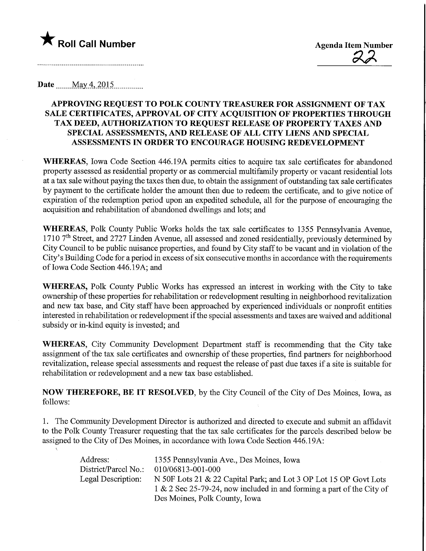

Roll Call Number<br>
Agenda Item Number<br>
A

Date  $\text{May } 4, 2015$ 

\,

## APPROVING REQUEST TO POLK COUNTY TREASURER FOR ASSIGNMENT OF TAX SALE CERTIFICATES, APPROVAL OF CITY ACQUISITION OF PROPERTIES THROUGH TAX DEED, AUTHORIZATION TO REQUEST RELEASE OF PROPERTY TAXES AND SPECIAL ASSESSMENTS, AND RELEASE OF ALL CITY LIENS AND SPECIAL ASSESSMENTS IN ORDER TO ENCOURAGE HOUSING REDEVELOPMENT

WHEREAS, Iowa Code Section 446.19A permits cities to acquire tax sale certificates for abandoned property assessed as residential property or as commercial multifamily property or vacant residential lots at a tax sale without paying the taxes then due, to obtain the assignment of outstanding tax sale certificates by payment to the certificate holder the amount then due to redeem the certificate, and to give notice of expiration of the redemption period upon an expedited schedule, all for the purpose of encouraging the acquisition and rehabilitation of abandoned dwellings and lots; and

WHEREAS, Polk County Public Works holds the tax sale certificates to 1355 Pennsylvania Avenue, 1710  $7<sup>th</sup>$  Street, and 2727 Linden Avenue, all assessed and zoned residentially, previously determined by City Council to be public nuisance properties, and found by City staff to be vacant and in violation of the City's Building Code for a period in excess of six consecutive months in accordance with the requirements of Iowa Code Section 446.19A; and

WHEREAS, Polk County Public Works has expressed an interest in working with the City to take ownership of these properties for rehabilitation or redevelopment resulting in neighborhood revitalization and new tax base, and City staff have been approached by experienced individuals or nonprofit entities interested in rehabilitation or redevelopment if the special assessments and taxes are waived and additional subsidy or in-kind equity is invested; and

WHEREAS, City Community Development Department staff is recommending that the City take assignment of the tax sale certificates and ownership of these properties, find partners for neighborhood revitalization, release special assessments and request the release of past due taxes if a site is suitable for rehabilitation or redevelopment and a new tax base established.

NOW THEREFORE, BE IT RESOLVED, by the City Council of the City of Des Moines, Iowa, as follows:

1. The Community Development Director is authorized and directed to execute and submit an affidavit to the Polk County Treasurer requesting that the tax sale certificates for the parcels described below be assigned to the City of Des Moines, in accordance with Iowa Code Section 446.19A:

| Address:             | 1355 Pennsylvania Ave., Des Moines, Iowa                              |
|----------------------|-----------------------------------------------------------------------|
| District/Parcel No.: | 010/06813-001-000                                                     |
| Legal Description:   | N 50F Lots 21 & 22 Capital Park; and Lot 3 OP Lot 15 OP Govt Lots     |
|                      | 1 & 2 Sec 25-79-24, now included in and forming a part of the City of |
|                      | Des Moines, Polk County, Iowa                                         |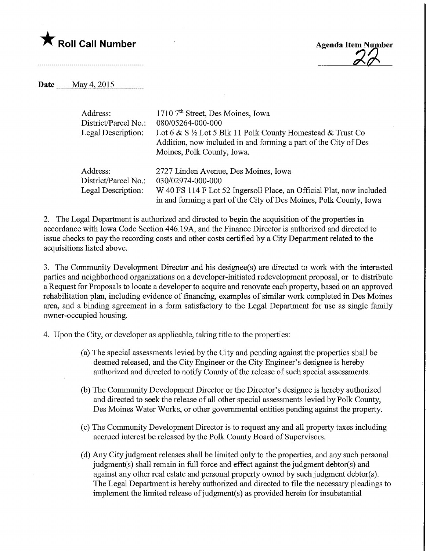

Roll Call Number Agenda Item Number Agenda Item Number

Date <u>May 4, 2015</u>

| Address:             | 1710 7 <sup>th</sup> Street, Des Moines, Iowa                         |
|----------------------|-----------------------------------------------------------------------|
| District/Parcel No.: | 080/05264-000-000                                                     |
| Legal Description:   | Lot 6 & S $\frac{1}{2}$ Lot 5 Blk 11 Polk County Homestead & Trust Co |
|                      | Addition, now included in and forming a part of the City of Des       |
|                      | Moines, Polk County, Iowa.                                            |
| Address:             | 2727 Linden Avenue, Des Moines, Iowa                                  |
| District/Parcel No.: | 030/02974-000-000                                                     |
| Legal Description:   | W 40 FS 114 F Lot 52 Ingersoll Place, an Official Plat, now included  |
|                      | in and forming a part of the City of Des Moines, Polk County, Iowa    |

2. The Legal Department is authorized and directed to begin the acquisition of the properties in accordance with Iowa Code Section 446.19A, and the Finance Director is authorized and directed to issue checks to pay the recording costs and other costs certified by a City Department related to the acquisitions listed above.

3. The Community Development Director and his designee(s) are directed to work with the interested parties and neighborhood organizations on a developer-initiated redevelopment proposal, or to distribute a Request for Proposals to locate a developer to acquire and renovate each property, based on an approved rehabilitation plan, including evidence of financing, examples of similar work completed in Des Moines area, and a binding agreement in a form satisfactory to the Legal Department for use as single family owner-occupied housing.

4. Upon the City, or developer as applicable, taking title to the properties:

- (a) The special assessments levied by the City and pending against the properties shall be deemed released, and the City Engineer or the City Engineer's designee is hereby authorized and directed to notify County of the release of such special assessments.
- (b) The Community Development Director or the Director's designee is hereby authorized and directed to seek the release of all other special assessments levied by Polk County, Des Moines Water Works, or other governmental entities pending against the property.
- (c) The Community Development Director is to request any and all property taxes including accrued interest be released by the Polk County Board of Supervisors.
- (d) Any City judgment releases shall be limited only to the properties, and any such personal judgment(s) shall remain in full force and effect against the judgment debtor(s) and against any other real estate and personal property owned by such judgment debtor(s). The Legal Department is hereby authorized and directed to file the necessary pleadings to implement the limited release of judgment(s) as provided herein for insubstantial